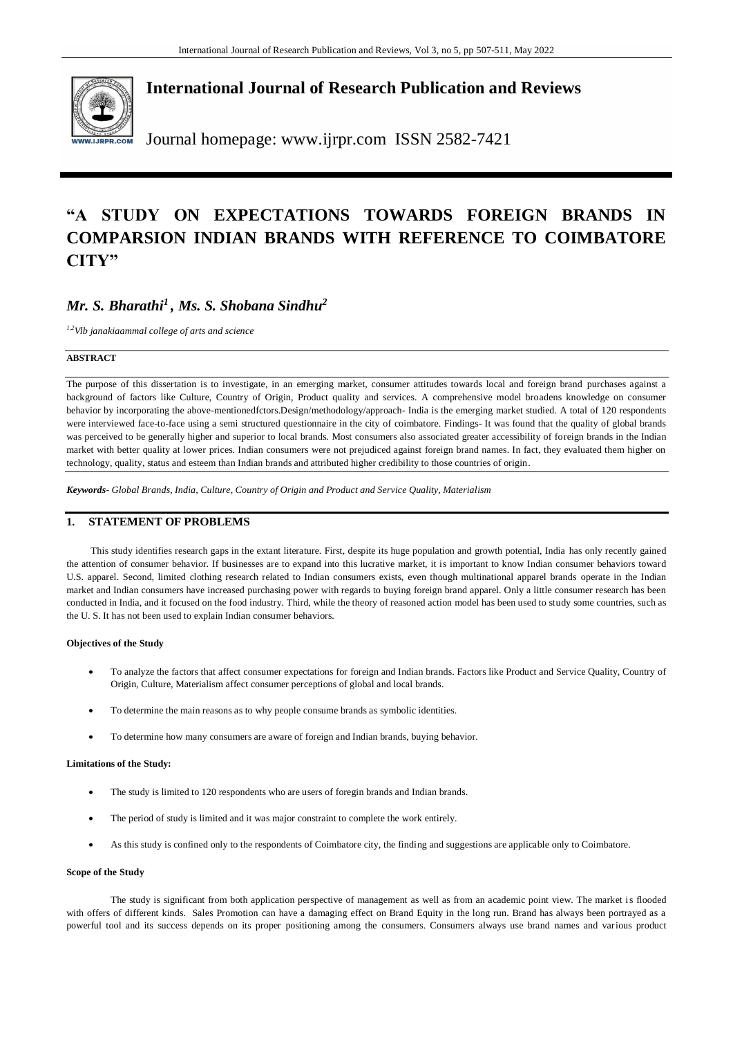

## **International Journal of Research Publication and Reviews**

Journal homepage: www.ijrpr.com ISSN 2582-7421

# **"A STUDY ON EXPECTATIONS TOWARDS FOREIGN BRANDS IN COMPARSION INDIAN BRANDS WITH REFERENCE TO COIMBATORE CITY"**

## *Mr. S. Bharathi<sup>1</sup>, Ms. S. Shobana Sindhu<sup>2</sup>*

*1,2Vlb janakiaammal college of arts and science*

## **ABSTRACT**

The purpose of this dissertation is to investigate, in an emerging market, consumer attitudes towards local and foreign brand purchases against a background of factors like Culture, Country of Origin, Product quality and services. A comprehensive model broadens knowledge on consumer behavior by incorporating the above-mentionedfctors.Design/methodology/approach- India is the emerging market studied. A total of 120 respondents were interviewed face-to-face using a semi structured questionnaire in the city of coimbatore. Findings- It was found that the quality of global brands was perceived to be generally higher and superior to local brands. Most consumers also associated greater accessibility of foreign brands in the Indian market with better quality at lower prices. Indian consumers were not prejudiced against foreign brand names. In fact, they evaluated them higher on technology, quality, status and esteem than Indian brands and attributed higher credibility to those countries of origin.

*Keywords- Global Brands, India, Culture, Country of Origin and Product and Service Quality, Materialism*

## **1. STATEMENT OF PROBLEMS**

 This study identifies research gaps in the extant literature. First, despite its huge population and growth potential, India has only recently gained the attention of consumer behavior. If businesses are to expand into this lucrative market, it is important to know Indian consumer behaviors toward U.S. apparel. Second, limited clothing research related to Indian consumers exists, even though multinational apparel brands operate in the Indian market and Indian consumers have increased purchasing power with regards to buying foreign brand apparel. Only a little consumer research has been conducted in India, and it focused on the food industry. Third, while the theory of reasoned action model has been used to study some countries, such as the U. S. It has not been used to explain Indian consumer behaviors.

### **Objectives of the Study**

- To analyze the factors that affect consumer expectations for foreign and Indian brands. Factors like Product and Service Quality, Country of Origin, Culture, Materialism affect consumer perceptions of global and local brands.
- To determine the main reasons as to why people consume brands as symbolic identities.
- To determine how many consumers are aware of foreign and Indian brands, buying behavior.

### **Limitations of the Study:**

- The study is limited to 120 respondents who are users of foregin brands and Indian brands.
- The period of study is limited and it was major constraint to complete the work entirely.
- As this study is confined only to the respondents of Coimbatore city, the finding and suggestions are applicable only to Coimbatore.

### **Scope of the Study**

The study is significant from both application perspective of management as well as from an academic point view. The market is flooded with offers of different kinds. Sales Promotion can have a damaging effect on Brand Equity in the long run. Brand has always been portrayed as a powerful tool and its success depends on its proper positioning among the consumers. Consumers always use brand names and various product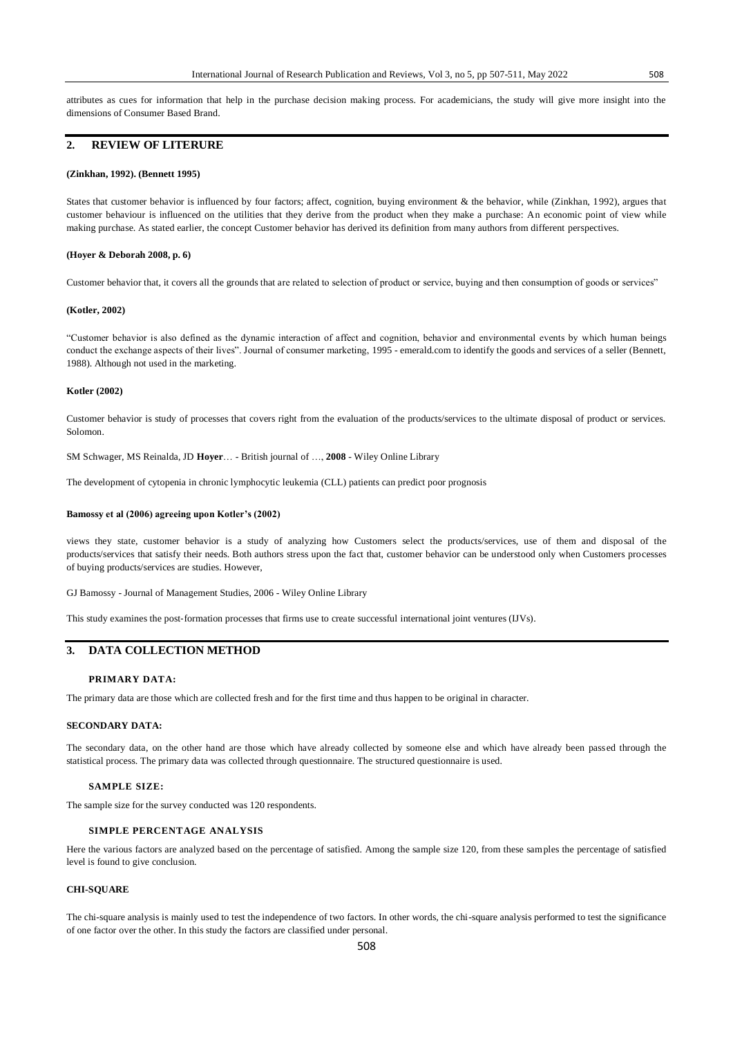attributes as cues for information that help in the purchase decision making process. For academicians, the study will give more insight into the dimensions of Consumer Based Brand.

## **2. REVIEW OF LITERURE**

#### **(Zinkhan, 1992). (Bennett 1995)**

States that customer behavior is influenced by four factors; affect, cognition, buying environment & the behavior, while (Zinkhan, 1992), argues that customer behaviour is influenced on the utilities that they derive from the product when they make a purchase: An economic point of view while making purchase. As stated earlier, the concept Customer behavior has derived its definition from many authors from different perspectives.

#### **(Hoyer & Deborah 2008, p. 6)**

Customer behavior that, it covers all the grounds that are related to selection of product or service, buying and then consumption of goods or services"

#### **(Kotler, 2002)**

"Customer behavior is also defined as the dynamic interaction of affect and cognition, behavior and environmental events by which human beings conduct the exchange aspects of their lives". Journal of consumer marketing, 1995 - emerald.com to identify the goods and services of a seller (Bennett, 1988). Although not used in the marketing.

#### **Kotler (2002)**

Customer behavior is study of processes that covers right from the evaluation of the products/services to the ultimate disposal of product or services. Solomon.

SM Schwager, MS Reinalda, JD **Hoyer**… - British journal of …, **2008** - Wiley Online Library

The development of cytopenia in chronic lymphocytic leukemia (CLL) patients can predict poor prognosis

#### **Bamossy et al (2006) agreeing upon Kotler's (2002)**

views they state, customer behavior is a study of analyzing how Customers select the products/services, use of them and disposal of the products/services that satisfy their needs. Both authors stress upon the fact that, customer behavior can be understood only when Customers processes of buying products/services are studies. However,

GJ Bamossy - Journal of Management Studies, 2006 - Wiley Online Library

This study examines the post-formation processes that firms use to create successful international joint ventures (IJVs).

## **3. DATA COLLECTION METHOD**

## **PRIMARY DATA:**

The primary data are those which are collected fresh and for the first time and thus happen to be original in character.

#### **SECONDARY DATA:**

The secondary data, on the other hand are those which have already collected by someone else and which have already been passed through the statistical process. The primary data was collected through questionnaire. The structured questionnaire is used.

## **SAMPLE SIZE:**

The sample size for the survey conducted was 120 respondents.

## **SIMPLE PERCENTAGE ANALYSIS**

Here the various factors are analyzed based on the percentage of satisfied. Among the sample size 120, from these samples the percentage of satisfied level is found to give conclusion.

#### **CHI-SQUARE**

The chi-square analysis is mainly used to test the independence of two factors. In other words, the chi-square analysis performed to test the significance of one factor over the other. In this study the factors are classified under personal.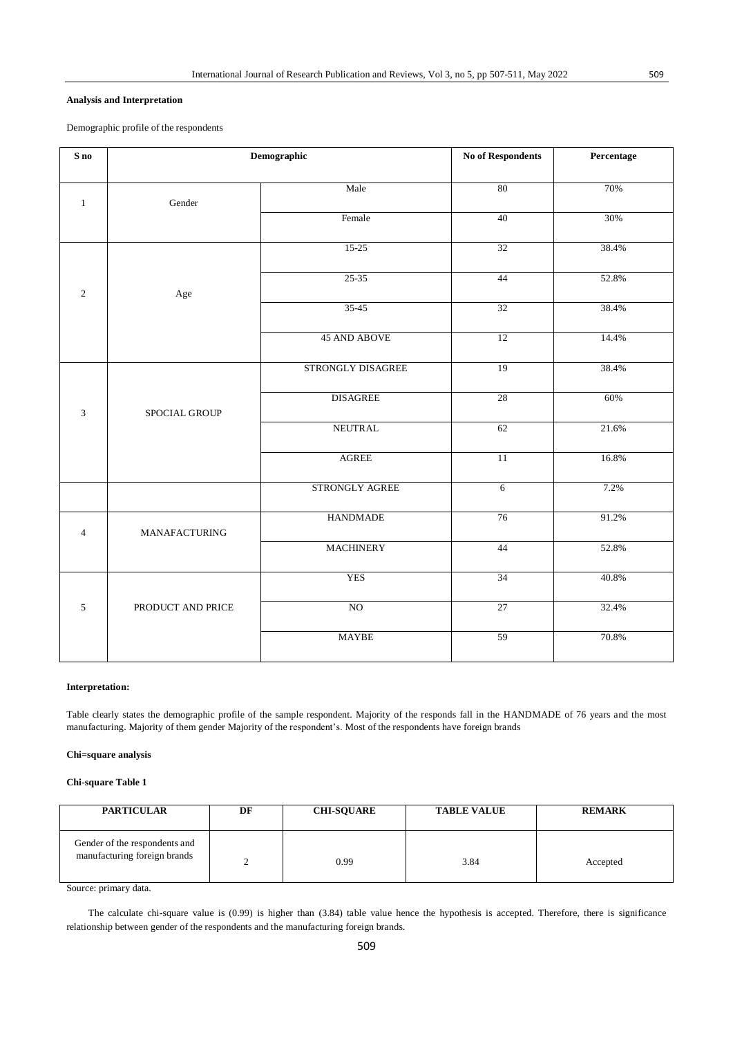## **Analysis and Interpretation**

Demographic profile of the respondents

| ${\bf S}$ no   | Demographic          |                     | No of Respondents | Percentage |
|----------------|----------------------|---------------------|-------------------|------------|
| $\mathbf{1}$   | Gender               | Male                | 80                | 70%        |
|                |                      | Female              | 40                | 30%        |
|                |                      | $15-25$             | $\overline{32}$   | 38.4%      |
| $\overline{2}$ | Age                  | $25 - 35$           | 44                | 52.8%      |
|                |                      | $35 - 45$           | 32                | 38.4%      |
|                |                      | <b>45 AND ABOVE</b> | 12                | 14.4%      |
| 3              | SPOCIAL GROUP        | STRONGLY DISAGREE   | 19                | 38.4%      |
|                |                      | <b>DISAGREE</b>     | 28                | 60%        |
|                |                      | <b>NEUTRAL</b>      | 62                | 21.6%      |
|                |                      | <b>AGREE</b>        | $\overline{11}$   | 16.8%      |
|                |                      | STRONGLY AGREE      | 6                 | 7.2%       |
| $\overline{4}$ | <b>MANAFACTURING</b> | <b>HANDMADE</b>     | 76                | 91.2%      |
|                |                      | <b>MACHINERY</b>    | 44                | 52.8%      |
|                |                      | <b>YES</b>          | 34                | 40.8%      |
| $\sqrt{5}$     | PRODUCT AND PRICE    | NO                  | 27                | 32.4%      |
|                |                      | <b>MAYBE</b>        | 59                | 70.8%      |

#### **Interpretation:**

Table clearly states the demographic profile of the sample respondent. Majority of the responds fall in the HANDMADE of 76 years and the most manufacturing. Majority of them gender Majority of the respondent's. Most of the respondents have foreign brands

## **Chi=square analysis**

**Chi-square Table 1**

| <b>PARTICULAR</b>                                             | DF | <b>CHI-SOUARE</b> | <b>TABLE VALUE</b> | <b>REMARK</b> |
|---------------------------------------------------------------|----|-------------------|--------------------|---------------|
| Gender of the respondents and<br>manufacturing foreign brands |    | 0.99              | 3.84               | Accepted      |

Source: primary data.

The calculate chi-square value is (0.99) is higher than (3.84) table value hence the hypothesis is accepted. Therefore, there is significance relationship between gender of the respondents and the manufacturing foreign brands.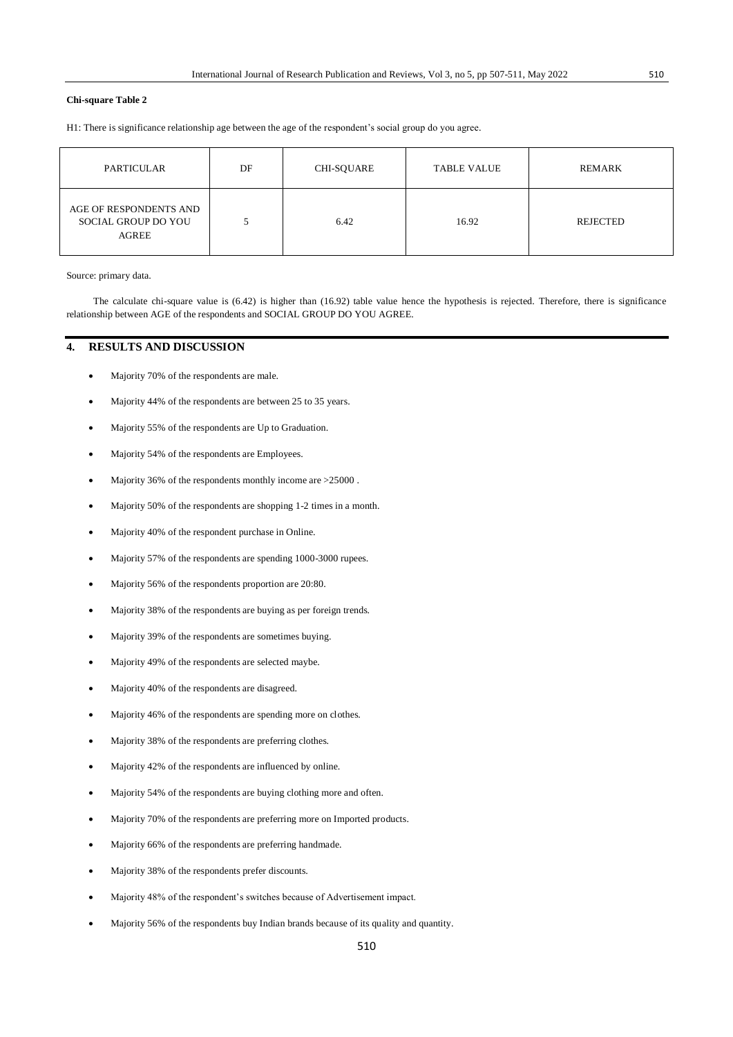## **Chi-square Table 2**

H1: There is significance relationship age between the age of the respondent's social group do you agree.

| <b>PARTICULAR</b>                                      | DF | CHI-SQUARE | <b>TABLE VALUE</b> | REMARK          |
|--------------------------------------------------------|----|------------|--------------------|-----------------|
| AGE OF RESPONDENTS AND<br>SOCIAL GROUP DO YOU<br>AGREE |    | 6.42       | 16.92              | <b>REJECTED</b> |

Source: primary data.

 The calculate chi-square value is (6.42) is higher than (16.92) table value hence the hypothesis is rejected. Therefore, there is significance relationship between AGE of the respondents and SOCIAL GROUP DO YOU AGREE.

## **4. RESULTS AND DISCUSSION**

- Majority 70% of the respondents are male.
- Majority 44% of the respondents are between 25 to 35 years.
- Majority 55% of the respondents are Up to Graduation.
- Majority 54% of the respondents are Employees.
- Majority 36% of the respondents monthly income are >25000 .
- Majority 50% of the respondents are shopping 1-2 times in a month.
- Majority 40% of the respondent purchase in Online.
- Majority 57% of the respondents are spending 1000-3000 rupees.
- Majority 56% of the respondents proportion are 20:80.
- Majority 38% of the respondents are buying as per foreign trends.
- Majority 39% of the respondents are sometimes buying.
- Majority 49% of the respondents are selected maybe.
- Majority 40% of the respondents are disagreed.
- Majority 46% of the respondents are spending more on clothes.
- Majority 38% of the respondents are preferring clothes.
- Majority 42% of the respondents are influenced by online.
- Majority 54% of the respondents are buying clothing more and often.
- Majority 70% of the respondents are preferring more on Imported products.
- Majority 66% of the respondents are preferring handmade.
- Majority 38% of the respondents prefer discounts.
- Majority 48% of the respondent's switches because of Advertisement impact.
- Majority 56% of the respondents buy Indian brands because of its quality and quantity.